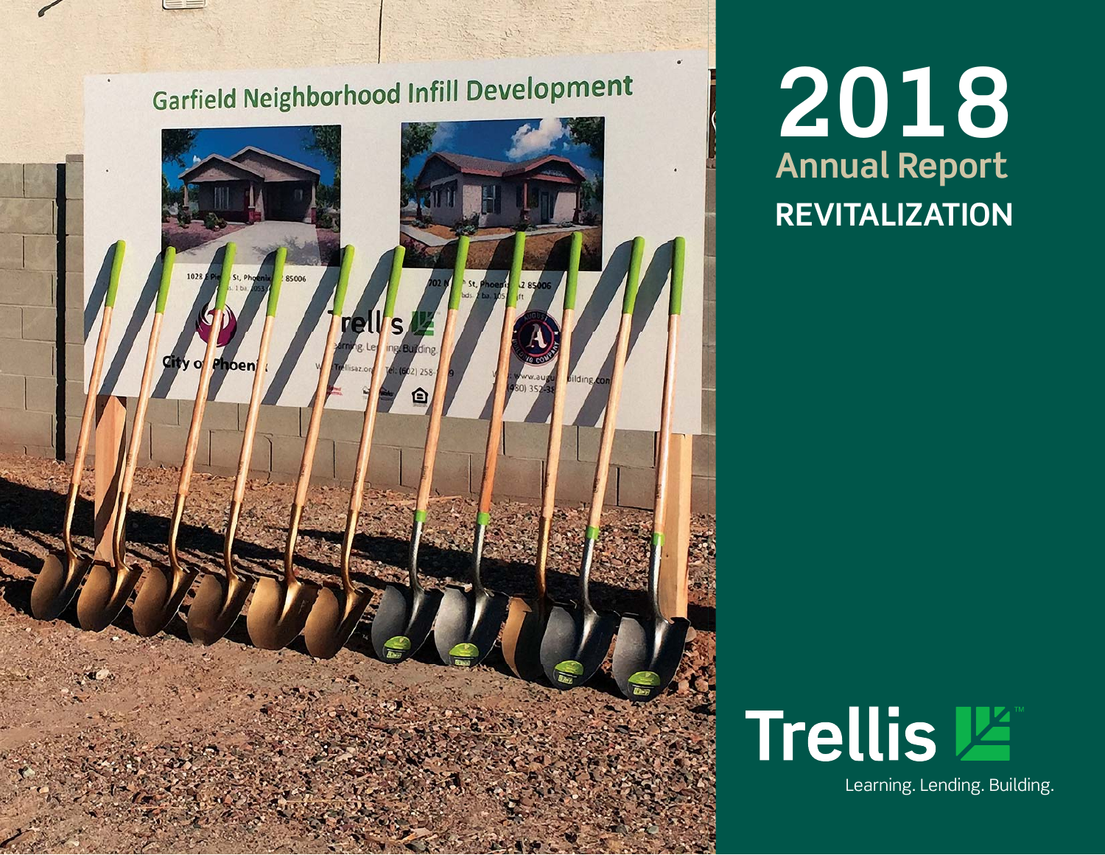# Garfield Neighborhood Infill Development 1028 85006 re Phoen A

**REVITALIZATION 2018 Annual Report** 

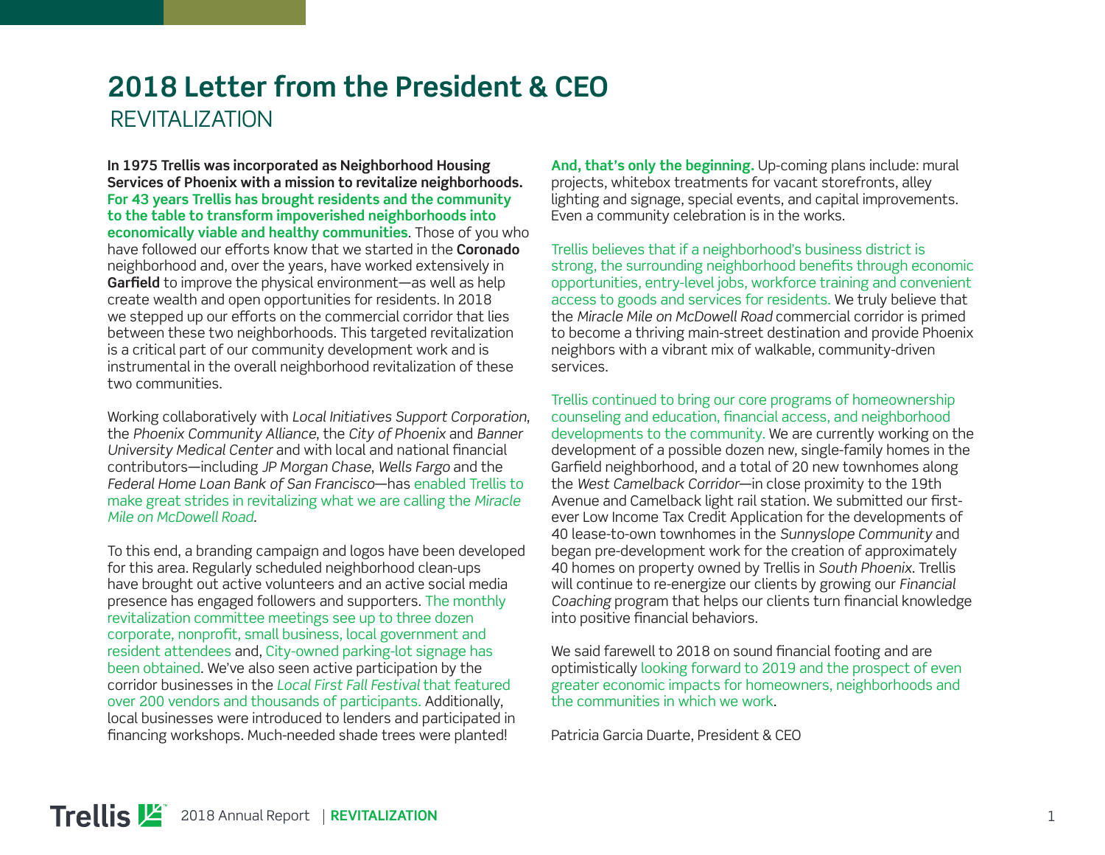#### **2018 Letter from the President & CEO**  REVITALIZATION

**In 1975 Trellis was incorporated as Neighborhood Housing Services of Phoenix with a mission to revitalize neighborhoods. For 43 years Trellis has brought residents and the community to the table to transform impoverished neighborhoods into economically viable and healthy communities**. Those of you who have followed our efforts know that we started in the **Coronado** neighborhood and, over the years, have worked extensively in Garfield to improve the physical environment—as well as help create wealth and open opportunities for residents. In 2018 we stepped up our efforts on the commercial corridor that lies between these two neighborhoods. This targeted revitalization is a critical part of our community development work and is instrumental in the overall neighborhood revitalization of these two communities.

Working collaboratively with *Local Initiatives Support Corporation*, the *Phoenix Community Alliance*, the *City of Phoenix* and *Banner University Medical Center and with local and national financial* contributors—including *JP Morgan Chase*, *Wells Fargo* and the *Federal Home Loan Bank of San Francisco*—has enabled Trellis to make great strides in revitalizing what we are calling the *Miracle Mile on McDowell Road.*

To this end, a branding campaign and logos have been developed for this area. Regularly scheduled neighborhood clean-ups have brought out active volunteers and an active social media presence has engaged followers and supporters. The monthly revitalization committee meetings see up to three dozen corporate, nonprofit, small business, local government and resident attendees and, City-owned parking-lot signage has been obtained. We've also seen active participation by the corridor businesses in the *Local First Fall Festival* that featured over 200 vendors and thousands of participants. Additionally, local businesses were introduced to lenders and participated in financing workshops. Much-needed shade trees were planted!

**And, that's only the beginning.** Up-coming plans include: mural projects, whitebox treatments for vacant storefronts, alley lighting and signage, special events, and capital improvements. Even a community celebration is in the works.

Trellis believes that if a neighborhood's business district is strong, the surrounding neighborhood benefits through economic opportunities, entry-level jobs, workforce training and convenient access to goods and services for residents. We truly believe that the *Miracle Mile on McDowell Road* commercial corridor is primed to become a thriving main-street destination and provide Phoenix neighbors with a vibrant mix of walkable, community-driven services.

Trellis continued to bring our core programs of homeownership counseling and education, financial access, and neighborhood developments to the community. We are currently working on the development of a possible dozen new, single-family homes in the Garfield neighborhood, and a total of 20 new townhomes along the *West Camelback Corridor*—in close proximity to the 19th Avenue and Camelback light rail station. We submitted our firstever Low Income Tax Credit Application for the developments of 40 lease-to-own townhomes in the *Sunnyslope Community* and began pre-development work for the creation of approximately 40 homes on property owned by Trellis in *South Phoenix*. Trellis will continue to re-energize our clients by growing our *Financial Coaching* program that helps our clients turn financial knowledge into positive financial behaviors.

We said farewell to 2018 on sound financial footing and are optimistically looking forward to 2019 and the prospect of even greater economic impacts for homeowners, neighborhoods and the communities in which we work.

Patricia Garcia Duarte, President & CEO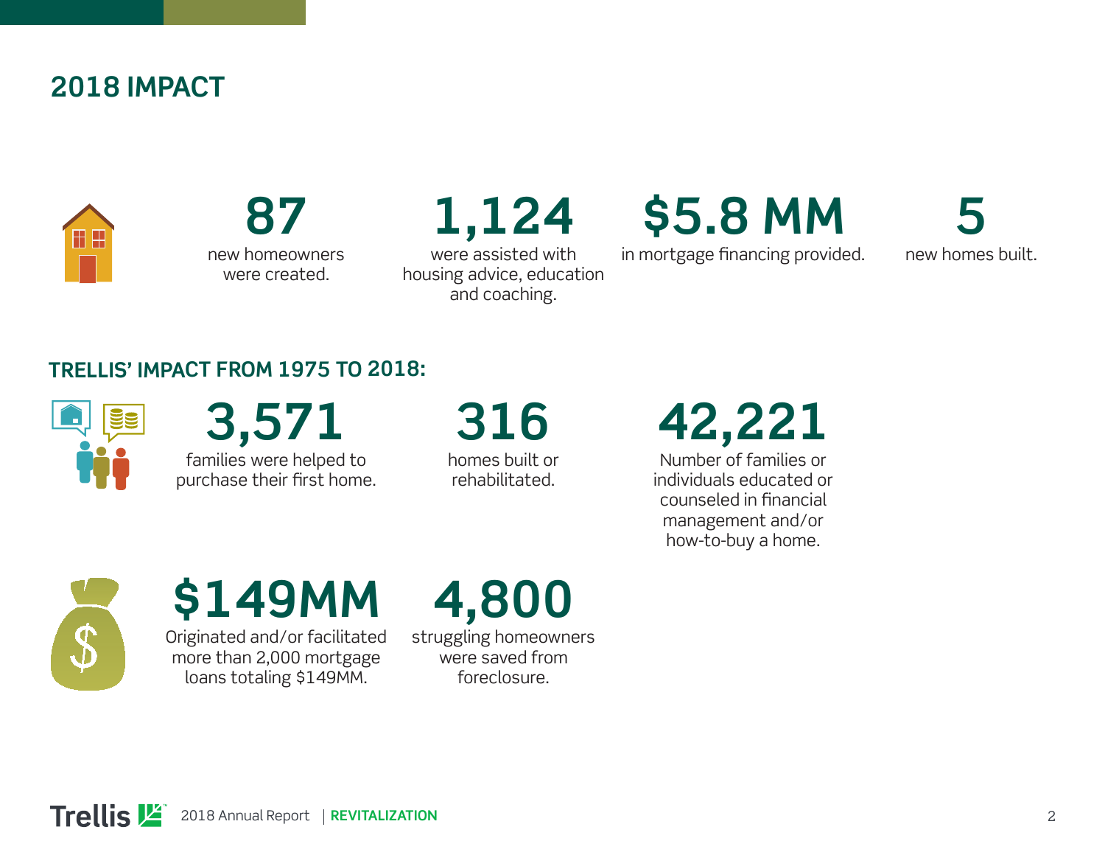#### **2018 IMPACT**



**87** new homeowners were created.

**1,124**

were assisted with housing advice, education and coaching.

## **\$5.8 MM**

in mortgage financing provided.

**5** new homes built.

#### **TRELLIS' IMPACT FROM 1975 TO 2018:**



**3,571**  families were helped to purchase their first home.

**316**  homes built or

rehabilitated.

**42,221** 

Number of families or individuals educated or counseled in financial management and/or how-to-buy a home.



## **\$149MM**

Originated and/or facilitated more than 2,000 mortgage loans totaling \$149MM.

**4,800** 

struggling homeowners were saved from foreclosure.

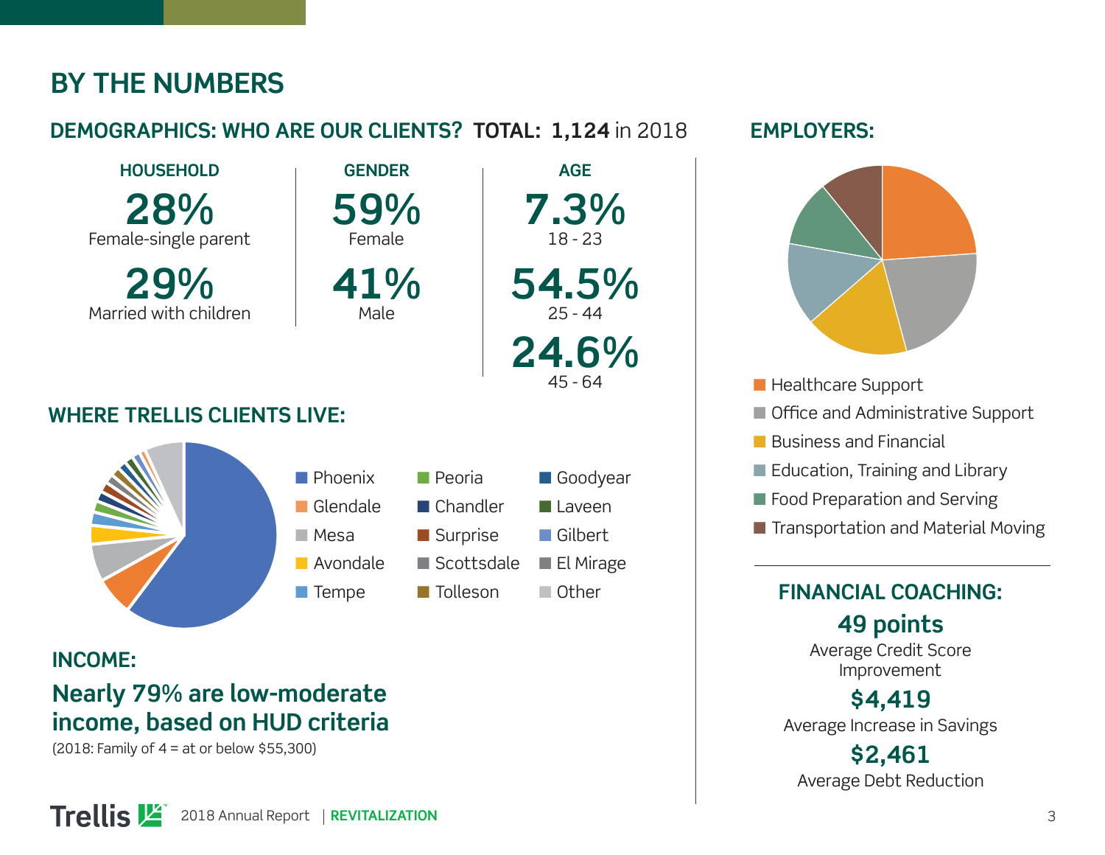#### **BY THE NUMBERS**

#### **DEMOGRAPHICS: WHO ARE OUR CLIENTS? TOTAL: 1,124** in 2018

**GENDER**

**59%**

Female

**41%** Male

**HOUSEHOLD 28%** Female-single parent

**29%** Married with children

#### **WHERE TRELLIS CLIENTS LIVE:**



#### **INCOME: Nearly 79% are low-moderate income, based on HUD criteria**

(2018: Family of 4 = at or below \$55,300)



**AGE 7.3%** 18 - 23 **54.5%** 25 - 44 **24.6%** 45 - 64

#### **EMPLOYERS:**



- Healthcare Support
- Office and Administrative Support
- Business and Financial
- Education, Training and Library
- Food Preparation and Serving
- Transportation and Material Moving

#### **FINANCIAL COACHING:**

**49 points** Average Credit Score Improvement

**\$4,419** Average Increase in Savings

**\$2,461** Average Debt Reduction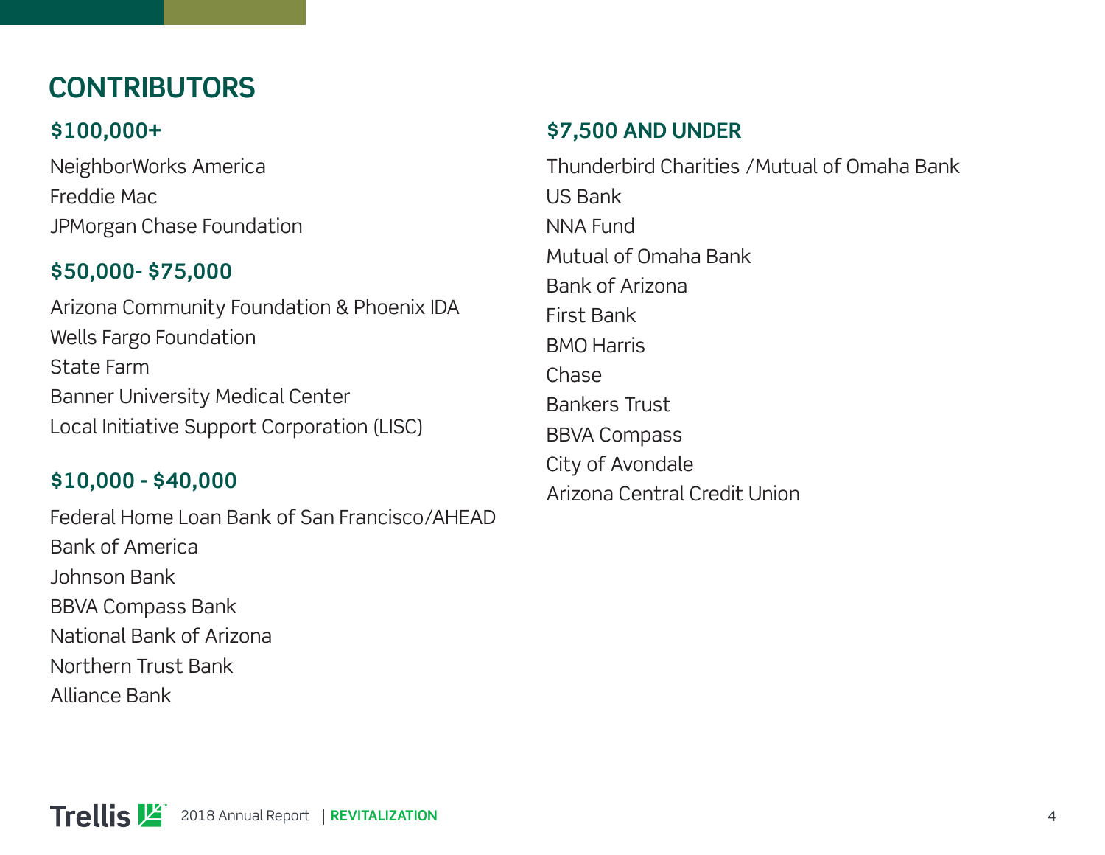### **CONTRIBUTORS**

#### **\$100,000+**

NeighborWorks America Freddie Mac JPMorgan Chase Foundation

#### **\$50,000- \$75,000**

Arizona Community Foundation & Phoenix IDA Wells Fargo Foundation State Farm Banner University Medical Center Local Initiative Support Corporation (LISC)

#### **\$10,000 - \$40,000**

Federal Home Loan Bank of San Francisco/AHEAD Bank of America Johnson Bank BBVA Compass Bank National Bank of Arizona Northern Trust Bank

Alliance Bank

#### **\$7,500 AND UNDER**

Thunderbird Charities /Mutual of Omaha Bank US Bank NNA Fund Mutual of Omaha Bank Bank of Arizona First Bank BMO Harris Chase Bankers Trust BBVA Compass City of Avondale Arizona Central Credit Union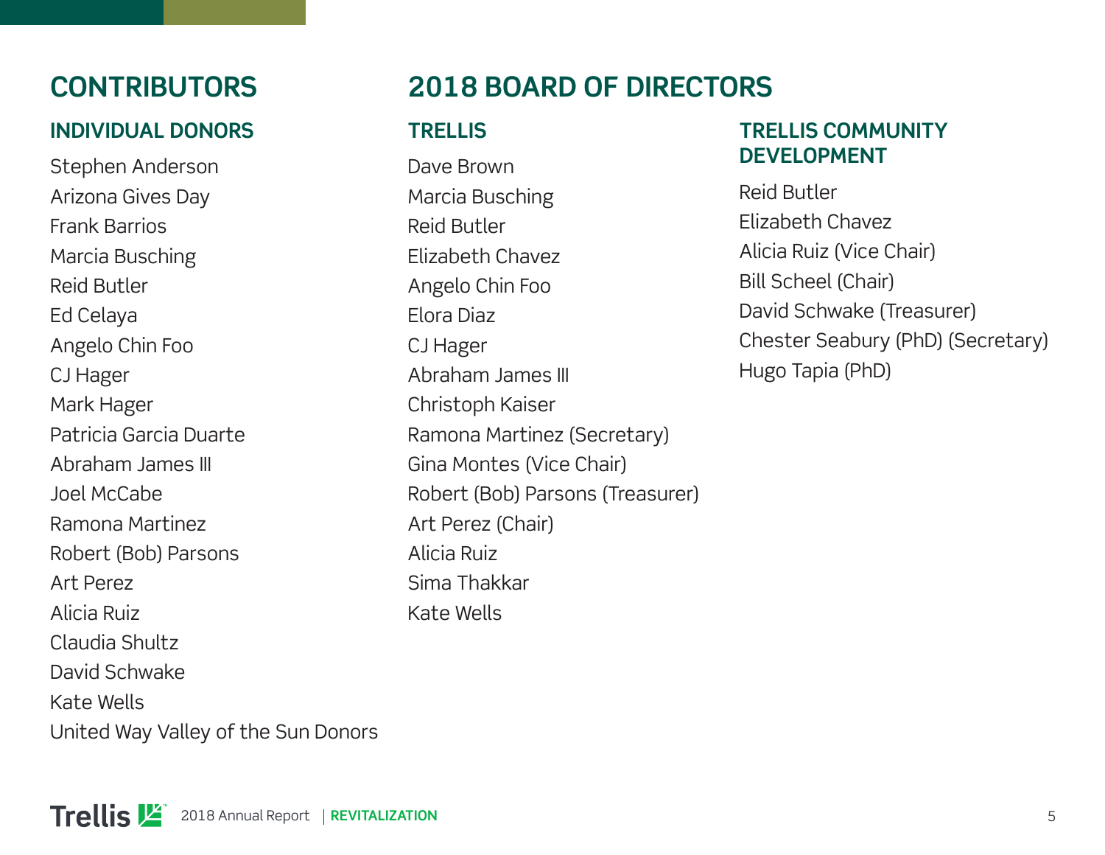#### **INDIVIDUAL DONORS**

Stephen Anderson Arizona Gives Day Frank Barrios Marcia Busching Reid Butler Ed Celaya Angelo Chin Foo CJ Hager Mark Hager Patricia Garcia Duarte Abraham James III Joel McCabe Ramona Martinez Robert (Bob) Parsons Art Perez Alicia Ruiz Claudia Shultz David Schwake Kate Wells United Way Valley of the Sun Donors

### **CONTRIBUTORS 2018 BOARD OF DIRECTORS**

#### **TRELLIS**

Dave Brown Marcia Busching Reid Butler Elizabeth Chavez Angelo Chin Foo Elora Diaz CJ Hager Abraham James III Christoph Kaiser Ramona Martinez (Secretary) Gina Montes (Vice Chair) Robert (Bob) Parsons (Treasurer) Art Perez (Chair) Alicia Ruiz Sima Thakkar Kate Wells

#### **TRELLIS COMMUNITY DEVELOPMENT**

Reid Butler Elizabeth Chavez Alicia Ruiz (Vice Chair) Bill Scheel (Chair) David Schwake (Treasurer) Chester Seabury (PhD) (Secretary) Hugo Tapia (PhD)

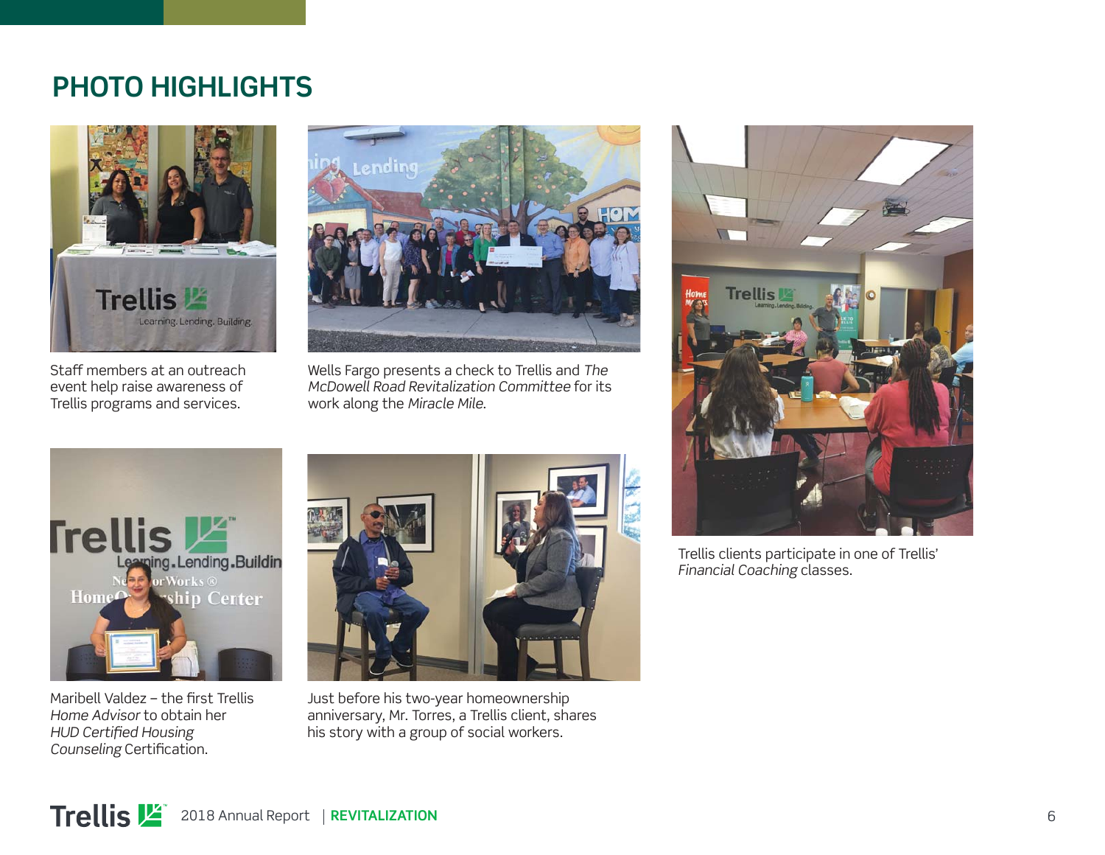#### **PHOTO HIGHLIGHTS**



Staff members at an outreach event help raise awareness of Trellis programs and services.



Wells Fargo presents a check to Trellis and *The McDowell Road Revitalization Committee* for its work along the *Miracle Mile*.



Maribell Valdez - the first Trellis *Home Advisor* to obtain her **HUD Certified Housing** *Counseling* Certification.



Just before his two-year homeownership anniversary, Mr. Torres, a Trellis client, shares his story with a group of social workers.



Trellis clients participate in one of Trellis' *Financial Coaching* classes.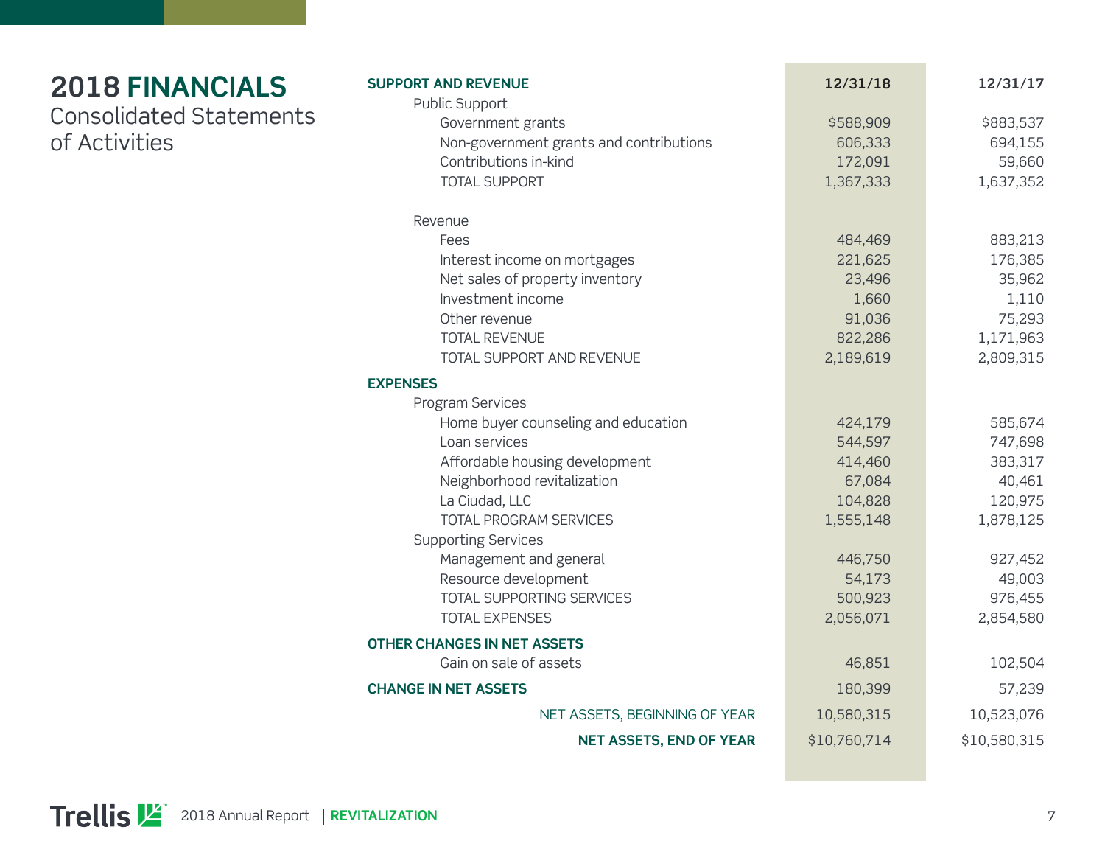| <b>2018 FINANCIALS</b>         |
|--------------------------------|
| <b>Consolidated Statements</b> |
| of Activities                  |

| <b>SUPPORT AND REVENUE</b>              | 12/31/18     | 12/31/17     |
|-----------------------------------------|--------------|--------------|
| Public Support                          |              |              |
| Government grants                       | \$588,909    | \$883,537    |
| Non-government grants and contributions | 606,333      | 694,155      |
| Contributions in-kind                   | 172,091      | 59,660       |
| <b>TOTAL SUPPORT</b>                    | 1,367,333    | 1,637,352    |
| Revenue                                 |              |              |
| Fees                                    | 484,469      | 883,213      |
| Interest income on mortgages            | 221,625      | 176,385      |
| Net sales of property inventory         | 23,496       | 35,962       |
| Investment income                       | 1,660        | 1,110        |
| Other revenue                           | 91,036       | 75,293       |
| <b>TOTAL REVENUE</b>                    | 822,286      | 1,171,963    |
| TOTAL SUPPORT AND REVENUE               | 2,189,619    | 2,809,315    |
| <b>EXPENSES</b>                         |              |              |
| Program Services                        |              |              |
| Home buyer counseling and education     | 424,179      | 585,674      |
| Loan services                           | 544,597      | 747,698      |
| Affordable housing development          | 414,460      | 383,317      |
| Neighborhood revitalization             | 67,084       | 40,461       |
| La Ciudad, LLC                          | 104,828      | 120,975      |
| TOTAL PROGRAM SERVICES                  | 1,555,148    | 1,878,125    |
| <b>Supporting Services</b>              |              |              |
| Management and general                  | 446,750      | 927,452      |
| Resource development                    | 54,173       | 49,003       |
| TOTAL SUPPORTING SERVICES               | 500,923      | 976,455      |
| <b>TOTAL EXPENSES</b>                   | 2,056,071    | 2,854,580    |
| <b>OTHER CHANGES IN NET ASSETS</b>      |              |              |
| Gain on sale of assets                  | 46,851       | 102,504      |
| <b>CHANGE IN NET ASSETS</b>             | 180,399      | 57,239       |
| NET ASSETS, BEGINNING OF YEAR           | 10,580,315   | 10,523,076   |
| <b>NET ASSETS, END OF YEAR</b>          | \$10,760,714 | \$10,580,315 |

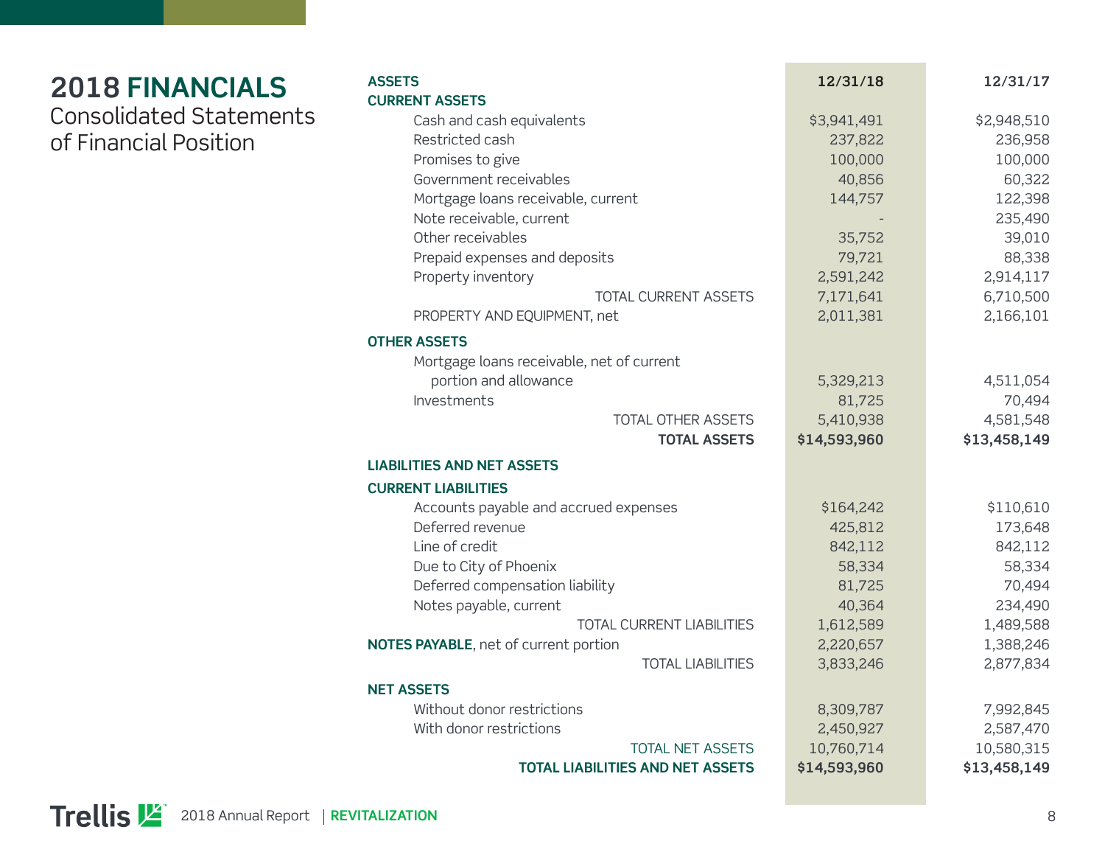#### **2018 FINANCIALS** Consolidated Statements of Financial Position

| <b>ASSETS</b>                             | 12/31/18     | 12/31/17     |
|-------------------------------------------|--------------|--------------|
| <b>CURRENT ASSETS</b>                     |              |              |
| Cash and cash equivalents                 | \$3,941,491  | \$2,948,510  |
| Restricted cash                           | 237,822      | 236,958      |
| Promises to give                          | 100,000      | 100,000      |
| Government receivables                    | 40,856       | 60,322       |
| Mortgage loans receivable, current        | 144,757      | 122,398      |
| Note receivable, current                  |              | 235,490      |
| Other receivables                         | 35,752       | 39,010       |
| Prepaid expenses and deposits             | 79,721       | 88,338       |
| Property inventory                        | 2,591,242    | 2,914,117    |
| TOTAL CURRENT ASSETS                      | 7,171,641    | 6,710,500    |
| PROPERTY AND EQUIPMENT, net               | 2,011,381    | 2,166,101    |
| <b>OTHER ASSETS</b>                       |              |              |
| Mortgage loans receivable, net of current |              |              |
| portion and allowance                     | 5,329,213    | 4,511,054    |
| Investments                               | 81,725       | 70,494       |
| <b>TOTAL OTHER ASSETS</b>                 | 5,410,938    | 4,581,548    |
| <b>TOTAL ASSETS</b>                       | \$14,593,960 | \$13,458,149 |
| <b>LIABILITIES AND NET ASSETS</b>         |              |              |
| <b>CURRENT LIABILITIES</b>                |              |              |
| Accounts payable and accrued expenses     | \$164,242    | \$110,610    |
| Deferred revenue                          | 425,812      | 173,648      |
| Line of credit                            | 842,112      | 842,112      |
| Due to City of Phoenix                    | 58,334       | 58,334       |
| Deferred compensation liability           | 81,725       | 70,494       |
| Notes payable, current                    | 40,364       | 234,490      |
| TOTAL CURRENT LIABILITIES                 | 1,612,589    | 1,489,588    |
| NOTES PAYABLE, net of current portion     |              |              |
|                                           | 2,220,657    | 1,388,246    |
| <b>TOTAL LIABILITIES</b>                  | 3,833,246    | 2,877,834    |
| <b>NET ASSETS</b>                         |              |              |
| Without donor restrictions                | 8,309,787    | 7,992,845    |
| With donor restrictions                   | 2,450,927    | 2,587,470    |
| <b>TOTAL NET ASSETS</b>                   | 10,760,714   | 10,580,315   |